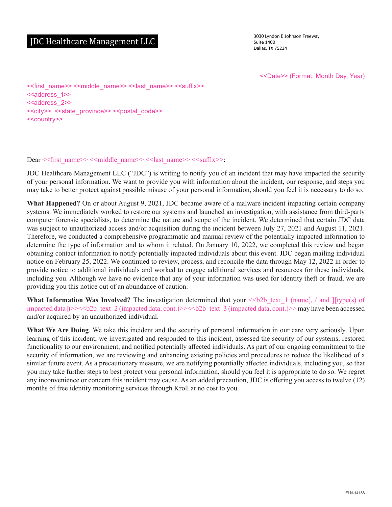# JDC Healthcare Management LLC

3030 Lyndon B Johnson Freeway **Suite 1400** Dallas, TX 75234

<<Date>> (Format: Month Day, Year)

<<first\_name>> <<middle\_name>> <<last\_name>> <<suffix>> <<aaddress\_1>> <<address 2>> <<city>>, <<state\_province>> <<postal\_code>> <<country>>

#### Dear << first\_name>> << middle\_name>> << last\_name>> << suffix>>:

JDC Healthcare Management LLC ("JDC") is writing to notify you of an incident that may have impacted the security of your personal information. We want to provide you with information about the incident, our response, and steps you may take to better protect against possible misuse of your personal information, should you feel it is necessary to do so.

**What Happened?** On or about August 9, 2021, JDC became aware of a malware incident impacting certain company systems. We immediately worked to restore our systems and launched an investigation, with assistance from third-party computer forensic specialists, to determine the nature and scope of the incident. We determined that certain JDC data was subject to unauthorized access and/or acquisition during the incident between July 27, 2021 and August 11, 2021. Therefore, we conducted a comprehensive programmatic and manual review of the potentially impacted information to determine the type of information and to whom it related. On January 10, 2022, we completed this review and began obtaining contact information to notify potentially impacted individuals about this event. JDC began mailing individual notice on February 25, 2022. We continued to review, process, and reconcile the data through May 12, 2022 in order to provide notice to additional individuals and worked to engage additional services and resources for these individuals, including you. Although we have no evidence that any of your information was used for identity theft or fraud, we are providing you this notice out of an abundance of caution.

**What Information Was Involved?** The investigation determined that your  $\leq$ b2b text 1 (name[, / and ][type(s) of impacted data] $>>**2b**$  text 2 (impacted data, cont.) $>>**2b**$  text 3 (impacted data, cont.) $>>$  may have been accessed and/or acquired by an unauthorized individual.

**What We Are Doing**. We take this incident and the security of personal information in our care very seriously. Upon learning of this incident, we investigated and responded to this incident, assessed the security of our systems, restored functionality to our environment, and notified potentially affected individuals. As part of our ongoing commitment to the security of information, we are reviewing and enhancing existing policies and procedures to reduce the likelihood of a similar future event. As a precautionary measure, we are notifying potentially affected individuals, including you, so that you may take further steps to best protect your personal information, should you feel it is appropriate to do so. We regret any inconvenience or concern this incident may cause. As an added precaution, JDC is offering you access to twelve (12) months of free identity monitoring services through Kroll at no cost to you.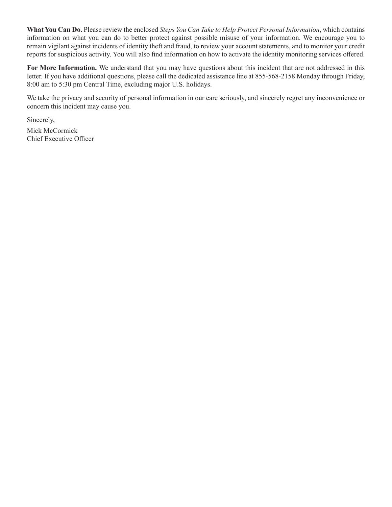**What You Can Do.** Please review the enclosed *Steps You Can Take to Help Protect Personal Information*, which contains information on what you can do to better protect against possible misuse of your information. We encourage you to remain vigilant against incidents of identity theft and fraud, to review your account statements, and to monitor your credit reports for suspicious activity. You will also find information on how to activate the identity monitoring services offered.

**For More Information.** We understand that you may have questions about this incident that are not addressed in this letter. If you have additional questions, please call the dedicated assistance line at 855-568-2158 Monday through Friday, 8:00 am to 5:30 pm Central Time, excluding major U.S. holidays.

We take the privacy and security of personal information in our care seriously, and sincerely regret any inconvenience or concern this incident may cause you.

Sincerely,

Mick McCormick Chief Executive Officer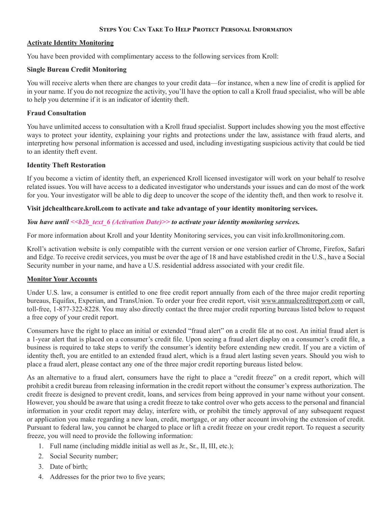## **Steps You Can Take To Help Protect Personal Information**

## **Activate Identity Monitoring**

You have been provided with complimentary access to the following services from Kroll:

## **Single Bureau Credit Monitoring**

You will receive alerts when there are changes to your credit data—for instance, when a new line of credit is applied for in your name. If you do not recognize the activity, you'll have the option to call a Kroll fraud specialist, who will be able to help you determine if it is an indicator of identity theft.

## **Fraud Consultation**

You have unlimited access to consultation with a Kroll fraud specialist. Support includes showing you the most effective ways to protect your identity, explaining your rights and protections under the law, assistance with fraud alerts, and interpreting how personal information is accessed and used, including investigating suspicious activity that could be tied to an identity theft event.

# **Identity Theft Restoration**

If you become a victim of identity theft, an experienced Kroll licensed investigator will work on your behalf to resolve related issues. You will have access to a dedicated investigator who understands your issues and can do most of the work for you. Your investigator will be able to dig deep to uncover the scope of the identity theft, and then work to resolve it.

# **Visit jdchealthcare.kroll.com to activate and take advantage of your identity monitoring services.**

# *You have until*  $\le b2b$  text 6 (Activation Date) $\ge$  to activate your identity monitoring services.

For more information about Kroll and your Identity Monitoring services, you can visit info.krollmonitoring.com.

Kroll's activation website is only compatible with the current version or one version earlier of Chrome, Firefox, Safari and Edge. To receive credit services, you must be over the age of 18 and have established credit in the U.S., have a Social Security number in your name, and have a U.S. residential address associated with your credit file.

#### **Monitor Your Accounts**

Under U.S. law, a consumer is entitled to one free credit report annually from each of the three major credit reporting bureaus, Equifax, Experian, and TransUnion. To order your free credit report, visit www.annualcreditreport.com or call, toll-free, 1-877-322-8228. You may also directly contact the three major credit reporting bureaus listed below to request a free copy of your credit report.

Consumers have the right to place an initial or extended "fraud alert" on a credit file at no cost. An initial fraud alert is a 1-year alert that is placed on a consumer's credit file. Upon seeing a fraud alert display on a consumer's credit file, a business is required to take steps to verify the consumer's identity before extending new credit. If you are a victim of identity theft, you are entitled to an extended fraud alert, which is a fraud alert lasting seven years. Should you wish to place a fraud alert, please contact any one of the three major credit reporting bureaus listed below.

As an alternative to a fraud alert, consumers have the right to place a "credit freeze" on a credit report, which will prohibit a credit bureau from releasing information in the credit report without the consumer's express authorization. The credit freeze is designed to prevent credit, loans, and services from being approved in your name without your consent. However, you should be aware that using a credit freeze to take control over who gets access to the personal and financial information in your credit report may delay, interfere with, or prohibit the timely approval of any subsequent request or application you make regarding a new loan, credit, mortgage, or any other account involving the extension of credit. Pursuant to federal law, you cannot be charged to place or lift a credit freeze on your credit report. To request a security freeze, you will need to provide the following information:

- 1. Full name (including middle initial as well as Jr., Sr., II, III, etc.);
- 2. Social Security number;
- 3. Date of birth;
- 4. Addresses for the prior two to five years;